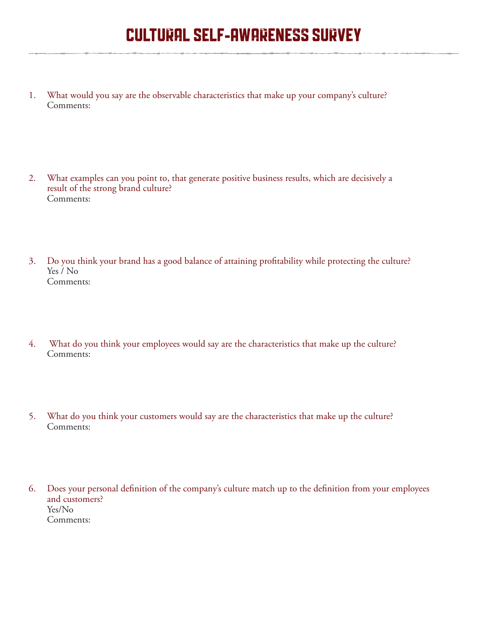- 1. What would you say are the observable characteristics that make up your company's culture? Comments:
- 2. What examples can you point to, that generate positive business results, which are decisively a result of the strong brand culture? Comments:
- 3. Do you think your brand has a good balance of attaining profitability while protecting the culture? Yes / No Comments:
- 4. What do you think your employees would say are the characteristics that make up the culture? Comments:
- 5. What do you think your customers would say are the characteristics that make up the culture? Comments:
- 6. Does your personal definition of the company's culture match up to the definition from your employees and customers? Yes/No Comments: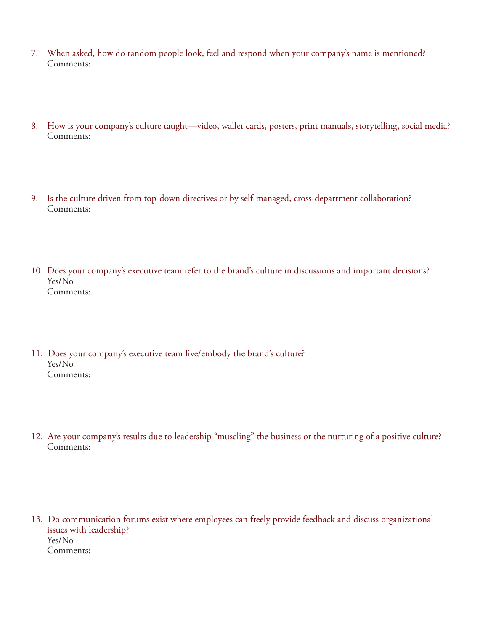- 7. When asked, how do random people look, feel and respond when your company's name is mentioned? Comments:
- 8. How is your company's culture taught—video, wallet cards, posters, print manuals, storytelling, social media? Comments:
- 9. Is the culture driven from top-down directives or by self-managed, cross-department collaboration? Comments:
- 10. Does your company's executive team refer to the brand's culture in discussions and important decisions? Yes/No Comments:
- 11. Does your company's executive team live/embody the brand's culture? Yes/No Comments:
- 12. Are your company's results due to leadership "muscling" the business or the nurturing of a positive culture? Comments:
- 13. Do communication forums exist where employees can freely provide feedback and discuss organizational issues with leadership? Yes/No Comments: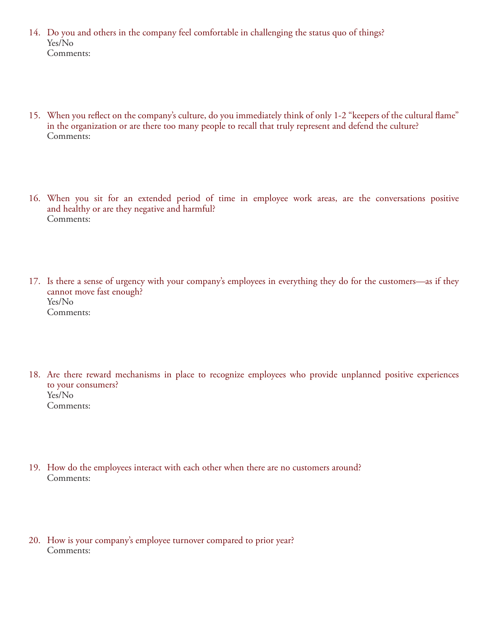- 14. Do you and others in the company feel comfortable in challenging the status quo of things? Yes/No Comments:
- 15. When you reflect on the company's culture, do you immediately think of only 1-2 "keepers of the cultural flame" in the organization or are there too many people to recall that truly represent and defend the culture? Comments:
- 16. When you sit for an extended period of time in employee work areas, are the conversations positive and healthy or are they negative and harmful? Comments:
- 17. Is there a sense of urgency with your company's employees in everything they do for the customers—as if they cannot move fast enough? Yes/No Comments:
- 18. Are there reward mechanisms in place to recognize employees who provide unplanned positive experiences to your consumers? Yes/No Comments:
- 19. How do the employees interact with each other when there are no customers around? Comments:
- 20. How is your company's employee turnover compared to prior year? Comments: